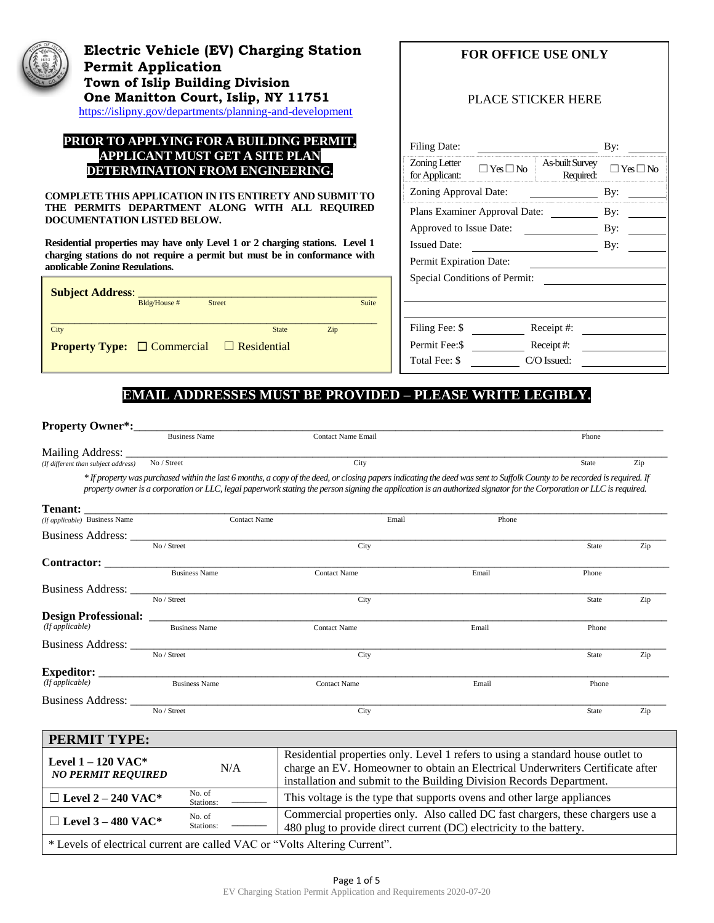

# **Electric Vehicle (EV) Charging Station Permit Application Town of Islip Building Division One Manitton Court, Islip, NY 11751** <https://islipny.gov/departments/planning-and-development>

#### **PRIOR TO APPLYING FOR A BUILDING PERMIT, APPLICANT MUST GET A SITE PLAN DETERMINATION FROM ENGINEERING.**

**COMPLETE THIS APPLICATION IN ITS ENTIRETY AND SUBMIT TO THE PERMITS DEPARTMENT ALONG WITH ALL REQUIRED DOCUMENTATION LISTED BELOW.**

**Residential properties may have only Level 1 or 2 charging stations. Level 1 charging stations do not require a permit but must be in conformance with applicable Zoning Regulations.** 

| <b>Subject Address:</b>                                    | Bldg/House # | <b>Street</b> |              |     | Suite |
|------------------------------------------------------------|--------------|---------------|--------------|-----|-------|
| City                                                       |              |               | <b>State</b> | Zip |       |
| <b>Property Type:</b> $\Box$ Commercial $\Box$ Residential |              |               |              |     |       |

# **FOR OFFICE USE ONLY**

### PLACE STICKER HERE

| <b>Filing Date:</b>             |                      |                                     | By:        |  |
|---------------------------------|----------------------|-------------------------------------|------------|--|
| Zoning Letter<br>for Applicant: | $\Box$ Yes $\Box$ No | <b>As-built Survey</b><br>Required: | ∃ Yes □ No |  |
| Zoning Approval Date:           | By:                  |                                     |            |  |
| Plans Examiner Approval Date:   | By:                  |                                     |            |  |
| Approved to Issue Date:         |                      |                                     | By:        |  |
| <b>Issued Date:</b>             |                      |                                     | By:        |  |
| Permit Expiration Date:         |                      |                                     |            |  |
| Special Conditions of Permit:   |                      |                                     |            |  |
|                                 |                      |                                     |            |  |
|                                 |                      |                                     |            |  |
| Filing Fee: \$                  |                      | Receipt#:                           |            |  |
| Permit Fee: \$                  |                      | Receipt#:                           |            |  |
| Total Fee: \$                   |                      | C/O Issued:                         |            |  |

## **EMAIL ADDRESSES MUST BE PROVIDED – PLEASE WRITE LEGIBLY.**

| <b>Property Owner*:</b>                                                                                                                                          |                                             |                                                                                                                                                                                                                                                                                                                                                   |                                                                         |              |     |
|------------------------------------------------------------------------------------------------------------------------------------------------------------------|---------------------------------------------|---------------------------------------------------------------------------------------------------------------------------------------------------------------------------------------------------------------------------------------------------------------------------------------------------------------------------------------------------|-------------------------------------------------------------------------|--------------|-----|
|                                                                                                                                                                  | <b>Business Name</b>                        | <b>Contact Name Email</b>                                                                                                                                                                                                                                                                                                                         |                                                                         | Phone        |     |
| (If different than subject address) $\overline{No / Street}$                                                                                                     |                                             | City                                                                                                                                                                                                                                                                                                                                              |                                                                         | State        | Zip |
|                                                                                                                                                                  |                                             | * If property was purchased within the last 6 months, a copy of the deed, or closing papers indicating the deed was sent to Suffolk County to be recorded is required. If<br>property owner is a corporation or LLC, legal paperwork stating the person signing the application is an authorized signator for the Corporation or LLC is required. |                                                                         |              |     |
| <b>Tenant:</b>                                                                                                                                                   |                                             |                                                                                                                                                                                                                                                                                                                                                   |                                                                         |              |     |
| (If applicable) Business Name                                                                                                                                    | <b>Contact Name</b>                         | Email                                                                                                                                                                                                                                                                                                                                             | Phone                                                                   |              |     |
|                                                                                                                                                                  | Business Address: $N_0 /$ Street            |                                                                                                                                                                                                                                                                                                                                                   |                                                                         |              |     |
|                                                                                                                                                                  |                                             | City                                                                                                                                                                                                                                                                                                                                              |                                                                         | <b>State</b> | Zip |
|                                                                                                                                                                  | Business Name                               | <b>Contact Name</b>                                                                                                                                                                                                                                                                                                                               | Email                                                                   |              |     |
|                                                                                                                                                                  |                                             |                                                                                                                                                                                                                                                                                                                                                   |                                                                         | Phone        |     |
|                                                                                                                                                                  | Business Address: $\frac{N_0}{\sqrt{8\pi}}$ | City                                                                                                                                                                                                                                                                                                                                              |                                                                         | <b>State</b> | Zip |
|                                                                                                                                                                  |                                             |                                                                                                                                                                                                                                                                                                                                                   |                                                                         |              |     |
| (If applicable)                                                                                                                                                  | <b>Business Name</b>                        | <b>Contact Name</b>                                                                                                                                                                                                                                                                                                                               | Email                                                                   | Phone        |     |
|                                                                                                                                                                  |                                             |                                                                                                                                                                                                                                                                                                                                                   |                                                                         |              |     |
|                                                                                                                                                                  | No / Street                                 | City                                                                                                                                                                                                                                                                                                                                              |                                                                         | <b>State</b> | Zip |
|                                                                                                                                                                  |                                             |                                                                                                                                                                                                                                                                                                                                                   |                                                                         |              |     |
| $\textbf{Expecteditor:}\begin{tabular}{ c c c } \hline \textbf{Expecteditor:}\end{tabular}\begin{tabular}{ c c c c } \hline \textbf{Expecteditor:}\end{tabular}$ |                                             | <b>Contact Name</b>                                                                                                                                                                                                                                                                                                                               | Email                                                                   | Phone        |     |
| Business Address: ____                                                                                                                                           |                                             |                                                                                                                                                                                                                                                                                                                                                   |                                                                         |              |     |
|                                                                                                                                                                  | No / Street                                 | City                                                                                                                                                                                                                                                                                                                                              |                                                                         | <b>State</b> | Zip |
| <b>PERMIT TYPE:</b>                                                                                                                                              |                                             |                                                                                                                                                                                                                                                                                                                                                   |                                                                         |              |     |
| Level $1 - 120$ VAC*<br><b>NO PERMIT REQUIRED</b>                                                                                                                | N/A                                         | Residential properties only. Level 1 refers to using a standard house outlet to<br>charge an EV. Homeowner to obtain an Electrical Underwriters Certificate after<br>installation and submit to the Building Division Records Department.                                                                                                         |                                                                         |              |     |
| $\Box$ Level 2 – 240 VAC*                                                                                                                                        | No. of<br>Stations:                         |                                                                                                                                                                                                                                                                                                                                                   | This voltage is the type that supports ovens and other large appliances |              |     |
| $\Box$ Level 3 – 480 VAC*                                                                                                                                        | No. of<br>Stations:                         | Commercial properties only. Also called DC fast chargers, these chargers use a<br>480 plug to provide direct current (DC) electricity to the battery.                                                                                                                                                                                             |                                                                         |              |     |
|                                                                                                                                                                  |                                             | * Levels of electrical current are called VAC or "Volts Altering Current".                                                                                                                                                                                                                                                                        |                                                                         |              |     |

Page 1 of 5 EV Charging Station Permit Application and Requirements 2020-07-20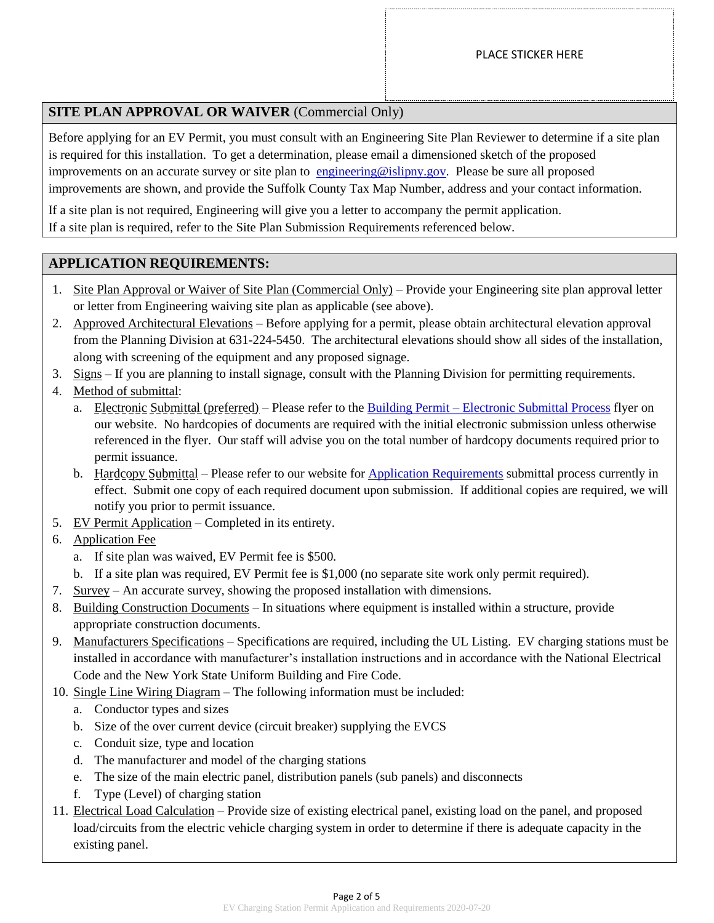# **SITE PLAN APPROVAL OR WAIVER** (Commercial Only)

Before applying for an EV Permit, you must consult with an Engineering Site Plan Reviewer to determine if a site plan is required for this installation. To get a determination, please email a dimensioned sketch of the proposed improvements on an accurate survey or site plan to [engineering@islipny.gov.](mailto:engineering@islipny.gov) Please be sure all proposed improvements are shown, and provide the Suffolk County Tax Map Number, address and your contact information.

If a site plan is not required, Engineering will give you a letter to accompany the permit application. If a site plan is required, refer to the Site Plan Submission Requirements referenced below.

### **APPLICATION REQUIREMENTS:**

- 1. Site Plan Approval or Waiver of Site Plan (Commercial Only) Provide your Engineering site plan approval letter or letter from Engineering waiving site plan as applicable (see above).
- 2. Approved Architectural Elevations Before applying for a permit, please obtain architectural elevation approval from the Planning Division at 631-224-5450. The architectural elevations should show all sides of the installation, along with screening of the equipment and any proposed signage.
- 3. Signs If you are planning to install signage, consult with the Planning Division for permitting requirements.
- 4. Method of submittal:
	- a. Electronic Submittal (preferred) Please refer to the Building Permit [Electronic Submittal Process](https://islipny.gov/building-division-permits-list/986-document-upload-instructions-for-electronic-submissions-building/file) flyer on our website. No hardcopies of documents are required with the initial electronic submission unless otherwise referenced in the flyer. Our staff will advise you on the total number of hardcopy documents required prior to permit issuance.
	- b. Hardcopy Submittal Please refer to our website for [Application Requirements](https://islipny.gov/community-and-services/documents/planning-development/980-planning-development-temporary-application-process-requirements-during-covid-19-pandemic/file) submittal process currently in effect. Submit one copy of each required document upon submission. If additional copies are required, we will notify you prior to permit issuance.
- 5. EV Permit Application Completed in its entirety.
- 6. Application Fee
	- a. If site plan was waived, EV Permit fee is \$500.
	- b. If a site plan was required, EV Permit fee is \$1,000 (no separate site work only permit required).
- 7. Survey An accurate survey, showing the proposed installation with dimensions.
- 8. Building Construction Documents In situations where equipment is installed within a structure, provide appropriate construction documents.
- 9. Manufacturers Specifications Specifications are required, including the UL Listing. EV charging stations must be installed in accordance with manufacturer's installation instructions and in accordance with the National Electrical Code and the New York State Uniform Building and Fire Code.
- 10. Single Line Wiring Diagram The following information must be included:
	- a. Conductor types and sizes
	- b. Size of the over current device (circuit breaker) supplying the EVCS
	- c. Conduit size, type and location
	- d. The manufacturer and model of the charging stations
	- e. The size of the main electric panel, distribution panels (sub panels) and disconnects
	- f. Type (Level) of charging station
- 11. Electrical Load Calculation Provide size of existing electrical panel, existing load on the panel, and proposed load/circuits from the electric vehicle charging system in order to determine if there is adequate capacity in the existing panel.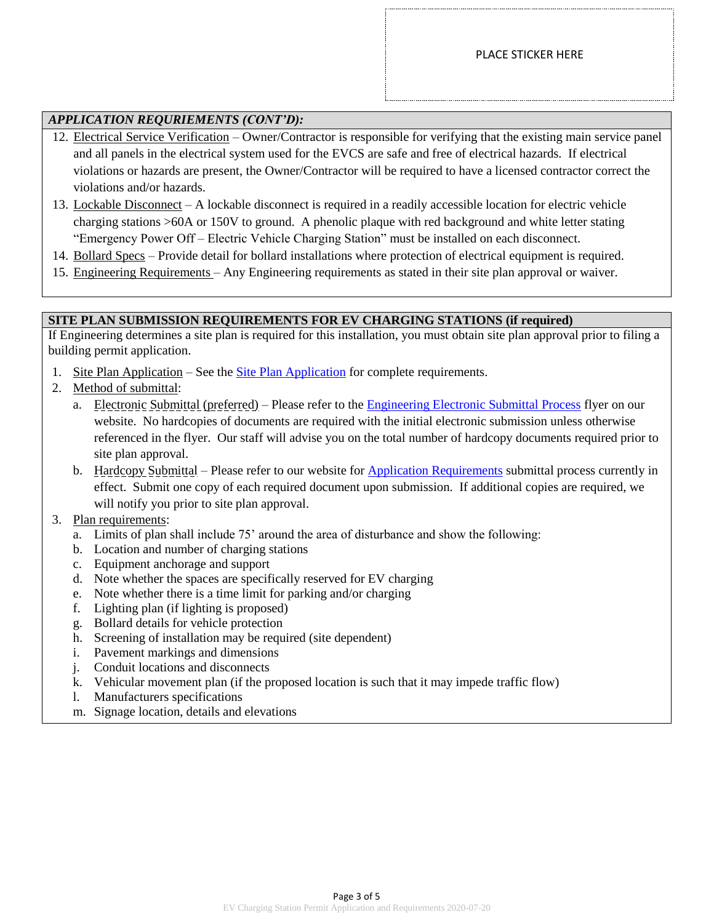## *APPLICATION REQURIEMENTS (CONT'D):*

- 12. Electrical Service Verification Owner/Contractor is responsible for verifying that the existing main service panel and all panels in the electrical system used for the EVCS are safe and free of electrical hazards. If electrical violations or hazards are present, the Owner/Contractor will be required to have a licensed contractor correct the violations and/or hazards.
- 13. Lockable Disconnect A lockable disconnect is required in a readily accessible location for electric vehicle charging stations >60A or 150V to ground. A phenolic plaque with red background and white letter stating "Emergency Power Off – Electric Vehicle Charging Station" must be installed on each disconnect.
- 14. Bollard Specs Provide detail for bollard installations where protection of electrical equipment is required.
- 15. Engineering Requirements Any Engineering requirements as stated in their site plan approval or waiver.

#### **SITE PLAN SUBMISSION REQUIREMENTS FOR EV CHARGING STATIONS (if required)**

If Engineering determines a site plan is required for this installation, you must obtain site plan approval prior to filing a building permit application.

- 1. [Site Plan Application](https://islipny.gov/community-and-services/documents/planning-development/engineering/317-site-plan-application/file) See the Site Plan Application for complete requirements.
- 2. Method of submittal:
	- a. Electronic Submittal (preferred) Please refer to the [Engineering Electronic Submittal Process](https://islipny.gov/community-and-services/documents/planning-development/engineering/987-document-upload-instructions-for-electronic-submissions-engineering/file) flyer on our website. No hardcopies of documents are required with the initial electronic submission unless otherwise referenced in the flyer. Our staff will advise you on the total number of hardcopy documents required prior to site plan approval.
	- b. Hardcopy Submittal Please refer to our website for [Application Requirements](https://islipny.gov/community-and-services/documents/planning-development/980-planning-development-temporary-application-process-requirements-during-covid-19-pandemic/file) submittal process currently in effect. Submit one copy of each required document upon submission. If additional copies are required, we will notify you prior to site plan approval.
- 3. Plan requirements:
	- a. Limits of plan shall include 75' around the area of disturbance and show the following:
	- b. Location and number of charging stations
	- c. Equipment anchorage and support
	- d. Note whether the spaces are specifically reserved for EV charging
	- e. Note whether there is a time limit for parking and/or charging
	- f. Lighting plan (if lighting is proposed)
	- g. Bollard details for vehicle protection
	- h. Screening of installation may be required (site dependent)
	- i. Pavement markings and dimensions
	- j. Conduit locations and disconnects
	- k. Vehicular movement plan (if the proposed location is such that it may impede traffic flow)
	- l. Manufacturers specifications
	- m. Signage location, details and elevations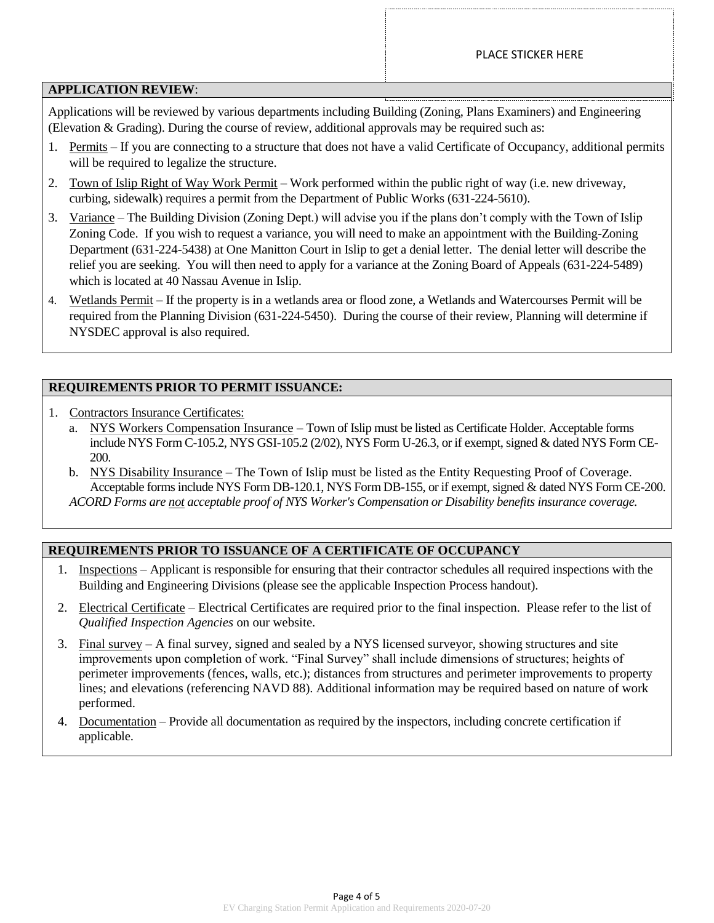### **APPLICATION REVIEW**:

Applications will be reviewed by various departments including Building (Zoning, Plans Examiners) and Engineering (Elevation & Grading). During the course of review, additional approvals may be required such as:

- 1. Permits If you are connecting to a structure that does not have a valid Certificate of Occupancy, additional permits will be required to legalize the structure.
- 2. Town of Islip Right of Way Work Permit Work performed within the public right of way (i.e. new driveway, curbing, sidewalk) requires a permit from the Department of Public Works (631-224-5610).
- 3. Variance The Building Division (Zoning Dept.) will advise you if the plans don't comply with the Town of Islip Zoning Code. If you wish to request a variance, you will need to make an appointment with the Building-Zoning Department (631-224-5438) at One Manitton Court in Islip to get a denial letter. The denial letter will describe the relief you are seeking. You will then need to apply for a variance at the Zoning Board of Appeals (631-224-5489) which is located at 40 Nassau Avenue in Islip.
- 4. Wetlands Permit If the property is in a wetlands area or flood zone, a Wetlands and Watercourses Permit will be required from the Planning Division (631-224-5450). During the course of their review, Planning will determine if NYSDEC approval is also required.

## **REQUIREMENTS PRIOR TO PERMIT ISSUANCE:**

- 1. Contractors Insurance Certificates:
	- a. NYS Workers Compensation Insurance Town of Islip must be listed as Certificate Holder. Acceptable forms include NYS Form C-105.2, NYS GSI-105.2 (2/02), NYS Form U-26.3, or if exempt, signed & dated NYS Form CE-200.
	- b. NYS Disability Insurance The Town of Islip must be listed as the Entity Requesting Proof of Coverage. Acceptable forms include NYS Form DB-120.1, NYS Form DB-155, or if exempt, signed & dated NYS Form CE-200. *ACORD Forms are not acceptable proof of NYS Worker's Compensation or Disability benefits insurance coverage.*

## **REQUIREMENTS PRIOR TO ISSUANCE OF A CERTIFICATE OF OCCUPANCY**

- 1. Inspections Applicant is responsible for ensuring that their contractor schedules all required inspections with the Building and Engineering Divisions (please see the applicable Inspection Process handout).
- 2. Electrical Certificate Electrical Certificates are required prior to the final inspection. Please refer to the list of *Qualified Inspection Agencies* on our website.
- 3. Final survey A final survey, signed and sealed by a NYS licensed surveyor, showing structures and site improvements upon completion of work. "Final Survey" shall include dimensions of structures; heights of perimeter improvements (fences, walls, etc.); distances from structures and perimeter improvements to property lines; and elevations (referencing NAVD 88). Additional information may be required based on nature of work performed.
- 4. Documentation Provide all documentation as required by the inspectors, including concrete certification if applicable.